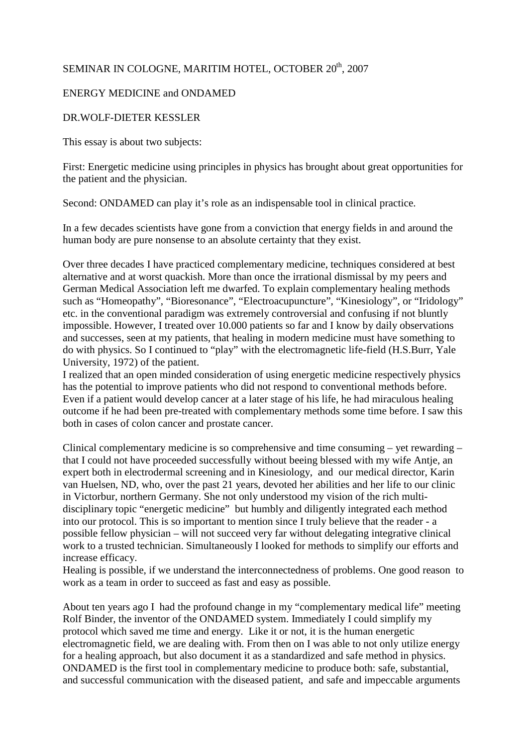## SEMINAR IN COLOGNE, MARITIM HOTEL, OCTOBER 20<sup>th</sup>, 2007

## ENERGY MEDICINE and ONDAMED

## DR.WOLF-DIETER KESSLER

This essay is about two subjects:

First: Energetic medicine using principles in physics has brought about great opportunities for the patient and the physician.

Second: ONDAMED can play it's role as an indispensable tool in clinical practice.

In a few decades scientists have gone from a conviction that energy fields in and around the human body are pure nonsense to an absolute certainty that they exist.

Over three decades I have practiced complementary medicine, techniques considered at best alternative and at worst quackish. More than once the irrational dismissal by my peers and German Medical Association left me dwarfed. To explain complementary healing methods such as "Homeopathy", "Bioresonance", "Electroacupuncture", "Kinesiology", or "Iridology" etc. in the conventional paradigm was extremely controversial and confusing if not bluntly impossible. However, I treated over 10.000 patients so far and I know by daily observations and successes, seen at my patients, that healing in modern medicine must have something to do with physics. So I continued to "play" with the electromagnetic life-field (H.S.Burr, Yale University, 1972) of the patient.

I realized that an open minded consideration of using energetic medicine respectively physics has the potential to improve patients who did not respond to conventional methods before. Even if a patient would develop cancer at a later stage of his life, he had miraculous healing outcome if he had been pre-treated with complementary methods some time before. I saw this both in cases of colon cancer and prostate cancer.

Clinical complementary medicine is so comprehensive and time consuming – yet rewarding – that I could not have proceeded successfully without beeing blessed with my wife Antje, an expert both in electrodermal screening and in Kinesiology, and our medical director, Karin van Huelsen, ND, who, over the past 21 years, devoted her abilities and her life to our clinic in Victorbur, northern Germany. She not only understood my vision of the rich multidisciplinary topic "energetic medicine" but humbly and diligently integrated each method into our protocol. This is so important to mention since I truly believe that the reader - a possible fellow physician – will not succeed very far without delegating integrative clinical work to a trusted technician. Simultaneously I looked for methods to simplify our efforts and increase efficacy.

Healing is possible, if we understand the interconnectedness of problems. One good reason to work as a team in order to succeed as fast and easy as possible.

About ten years ago I had the profound change in my "complementary medical life" meeting Rolf Binder, the inventor of the ONDAMED system. Immediately I could simplify my protocol which saved me time and energy. Like it or not, it is the human energetic electromagnetic field, we are dealing with. From then on I was able to not only utilize energy for a healing approach, but also document it as a standardized and safe method in physics. ONDAMED is the first tool in complementary medicine to produce both: safe, substantial, and successful communication with the diseased patient, and safe and impeccable arguments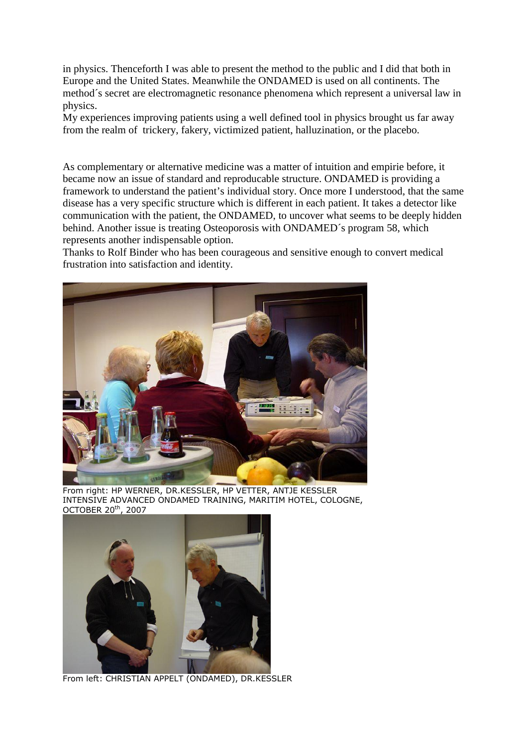in physics. Thenceforth I was able to present the method to the public and I did that both in Europe and the United States. Meanwhile the ONDAMED is used on all continents. The method´s secret are electromagnetic resonance phenomena which represent a universal law in physics.

My experiences improving patients using a well defined tool in physics brought us far away from the realm of trickery, fakery, victimized patient, halluzination, or the placebo.

As complementary or alternative medicine was a matter of intuition and empirie before, it became now an issue of standard and reproducable structure. ONDAMED is providing a framework to understand the patient's individual story. Once more I understood, that the same disease has a very specific structure which is different in each patient. It takes a detector like communication with the patient, the ONDAMED, to uncover what seems to be deeply hidden behind. Another issue is treating Osteoporosis with ONDAMED´s program 58, which represents another indispensable option.

Thanks to Rolf Binder who has been courageous and sensitive enough to convert medical frustration into satisfaction and identity.



From right: HP WERNER, DR.KESSLER, HP VETTER, ANTJE KESSLER INTENSIVE ADVANCED ONDAMED TRAINING, MARITIM HOTEL, COLOGNE, OCTOBER 20th, 2007



From left: CHRISTIAN APPELT (ONDAMED), DR.KESSLER